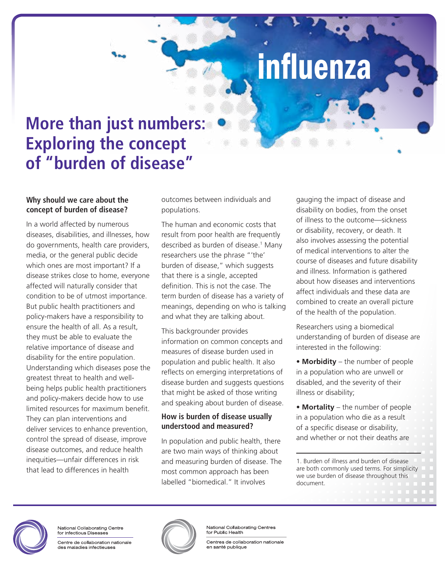# influenza

## **More than just numbers: Exploring the concept of "burden of disease"**

#### **Why should we care about the concept of burden of disease?**

In a world affected by numerous diseases, disabilities, and illnesses, how do governments, health care providers, media, or the general public decide which ones are most important? If a disease strikes close to home, everyone affected will naturally consider that condition to be of utmost importance. But public health practitioners and policy-makers have a responsibility to ensure the health of all. As a result, they must be able to evaluate the relative importance of disease and disability for the entire population. Understanding which diseases pose the greatest threat to health and wellbeing helps public health practitioners and policy-makers decide how to use limited resources for maximum benefit. They can plan interventions and deliver services to enhance prevention, control the spread of disease, improve disease outcomes, and reduce health inequities—unfair differences in risk that lead to differences in health

outcomes between individuals and populations.

The human and economic costs that result from poor health are frequently described as burden of disease.<sup>1</sup> Many researchers use the phrase "'the' burden of disease," which suggests that there is a single, accepted definition. This is not the case. The term burden of disease has a variety of meanings, depending on who is talking and what they are talking about.

This backgrounder provides information on common concepts and measures of disease burden used in population and public health. It also reflects on emerging interpretations of disease burden and suggests questions that might be asked of those writing and speaking about burden of disease.

#### **How is burden of disease usually understood and measured?**

In population and public health, there are two main ways of thinking about and measuring burden of disease. The most common approach has been labelled "biomedical." It involves

gauging the impact of disease and disability on bodies, from the onset of illness to the outcome—sickness or disability, recovery, or death. It also involves assessing the potential of medical interventions to alter the course of diseases and future disability and illness. Information is gathered about how diseases and interventions affect individuals and these data are combined to create an overall picture of the health of the population.

Researchers using a biomedical understanding of burden of disease are interested in the following:

• **Morbidity** – the number of people in a population who are unwell or disabled, and the severity of their illness or disability;

• **Mortality** – the number of people in a population who die as a result of a specific disease or disability, and whether or not their deaths are

1. Burden of illness and burden of disease are both commonly used terms. For simplicity we use burden of disease throughout this document.



National Collaborating Centre for Infectious Diseases

Centre de collaboration nationale des maladies infectieuses



National Collaborating Centres for Public Health

Centres de collaboration nationale en santé publique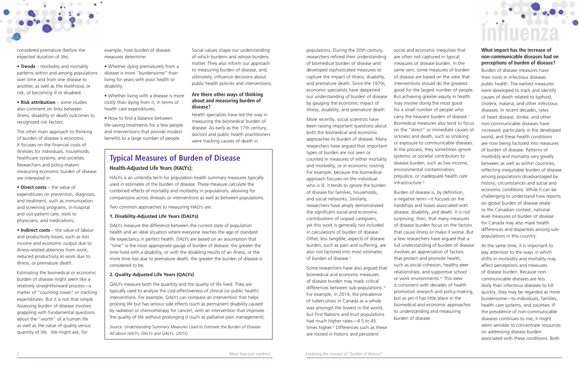considered premature (before the expected duration of life).

• **Trends** – morbidity and mortality patterns within and among populations over time and from one disease to another, as well as the likelihood, or risk, of becoming ill or disabled.

• **Risk attribution** – some studies also comment on links between illness, disability or death outcomes to recognized risk factors.

The other main approach to thinking of burden of disease is economic. It focuses on the financial costs of illnesses for individuals, households, healthcare systems, and societies. Researchers and policy-makers measuring economic burden of disease are interested in:

• **Direct costs** – the value of expenditures on prevention, diagnosis, and treatment, such as immunization and screening programs, in-hospital and out-patient care, visits to physicians, and medications;

• **Indirect costs** – the value of labour and productivity losses, such as lost income and economic output due to illness-related absences from work, reduced productivity at work due to illness, or premature death.

More recently, social scientists have been raising important questions about both the biomedical and economic approaches to burden of disease. Many researchers have argued that important types of burden are not seen or counted in measures of either mortality and morbidity, or in economic costing. For example, because the biomedical approach focuses on the individual who is ill, it tends to ignore the burden of disease for families, households, and social networks. Similarly, researchers have amply demonstrated the significant social and economic contributions of unpaid caregivers, yet this work is generally not included in calculations of burden of disease.<sup>i</sup> Other, less tangible, aspects of disease burden, such as pain and suffering, are also not factored into most estimates of burden of disease.<sup>ii</sup>

Estimating the biomedical or economic burden of disease might seem like a relatively straightforward process—a matter of "counting noses" or tracking expenditures. But it is not that simple. Assessing burden of disease involves grappling with fundamental questions about the "worth" of a human life as well as the value of quality versus quantity of life. We might ask, for

example, how burden of disease measures determine:

- Whether dying prematurely from a disease is more "burdensome" than living for years with poor health or disability;
- Whether living with a disease is more costly than dying from it, in terms of health care expenditures;

social and economic inequities that are often not captured in typical measures of disease burden. In the same vein, some measures of burden of disease are based on the view that interventions should do the greatest good for the largest number of people. But achieving greater equity in health may involve doing the most good for a small number of people who carry the heaviest burden of disease.<sup>v</sup> Biomedical measures also tend to focus on the "direct" or immediate causes of sickness and death, such as smoking or exposure to communicable diseases. In the process, they sometimes ignore systemic or societal contributors to disease burden, such as low income, environmental contamination, prejudice, or inadequate health care infrastructure.vi

• How to find a balance between life-saving treatments for a few people and interventions that provide modest benefits to a large number of people.

populations. During the 20th century, researchers refined their understanding of biomedical burden of disease and developed sophisticated measures to capture the impact of illness, disability, and premature death. Since the 1970s, economic specialists have deepened our understanding of burden of disease by gauging the economic impact of illness, disability, and premature death.

Some researchers have also argued that biomedical and economic measures of disease burden may mask critical differences between sub-populations. iii For example, in 2014, the prevalence of tuberculosis in Canada as a whole was amongst the lowest in the world, but First Nations and Inuit populations had much higher rates—4.5 to 45 times higher.<sup>iv</sup> Differences such as these are rooted in historic and persistent

Burden of disease is, by definition, a negative term—it focuses on the hardships and losses associated with disease, disability, and death. It is not surprising, then, that many measures of disease burden focus on the factors that cause illness or make it worse. But a few researchers have argued that a full understanding of burden of disease involves an appreciation of factors that protect and promote health, such as social cohesion, healthy peer relationships, and supportive school or work environments.<sup>vii</sup> This view is consistent with decades of health promotion research and policy-making, but as yet it has little place in the biomedical and economic approaches to understanding and measuring burden of disease.

#### **What impact has the increase of non-communicable diseases had on perceptions of burden of disease?**

Burden of disease measures have their roots in infectious diseases public health. The earliest measures were developed to track and identify causes of death related to typhoid, cholera, malaria, and other infectious diseases. In recent decades, rates of heart disease, stroke, and other non-communicable diseases have increased, particularly in the developed world, and these health conditions are now being factored into measures of burden of disease. Patterns of morbidity and mortality vary greatly between as well as within countries, reflecting inequitable burden of disease among populations disadvantaged by history, circumstances and social and economic conditions. While it can be challenging to understand how reports on global burden of disease relate to the Canadian context, national level measures of burden of disease for Canada may also mask health differences and disparities among subpopulations in this country.

At the same time, it is important to pay attention to the ways in which shifts in morbidity and mortality may affect perceptions and measures of disease burden. Because noncommunicable diseases are less likely than infectious diseases to kill quickly, they may be regarded as more burdensome—to individuals, families, health care systems, and societies. If the prevalence of non-communicable diseases continues to rise, it might seem sensible to concentrate resources on addressing disease burden associated with these conditions. Both

### **Typical Measures of Burden of Disease Health-Adjusted Life Years (HALYs):**

HALYs is an umbrella term for population health summary measures typically used in estimates of the burden of disease. These measure calculate the combined effects of mortality and morbidity in populations, allowing for comparisons across illnesses or interventions as well as between populations.

Two common approaches to measuring HALYs are:

#### **1. Disability-Adjusted Life Years (DALYs)**

DALYs measure the difference between the current state of population health and an ideal situation where everyone reaches the age of standard life expectancy in perfect health. DALYs are based on an assumption that "time" is the most appropriate gauge of burden of disease: the greater the time lived with a disability, or with the disabling results of an illness, or the more time lost due to premature death, the greater the burden of disease is considered to be.

#### **2. Quality-Adjusted Life Years (QALYs)**

QALYs measure both the quantity and the quality of life lived. They are typically used to analyze the cost-effectiveness of clinical (or public health) interventions. For example, QALYs can compare an intervention that helps prolong life but has serious side effects (such as permanent disability caused by radiation or chemotherapy for cancer), with an intervention that improves the quality of life without prolonging it (such as palliative pain management).

*Source: Understanding Summary Measures Used to Estimate the Burden of Disease: All about HALYs, DALYs and QALYs. (2015)*

Social values shape our understanding of which burdens and whose burdens matter. They also inform our approach to measuring burden of disease, and, ultimately, influence decisions about public health policies and interventions.

#### **Are there other ways of thinking about and measuring burden of disease?**

Health specialists have led the way in measuring the biomedical burden of disease. As early as the 17th century, doctors and public health practitioners were tracking causes of death in